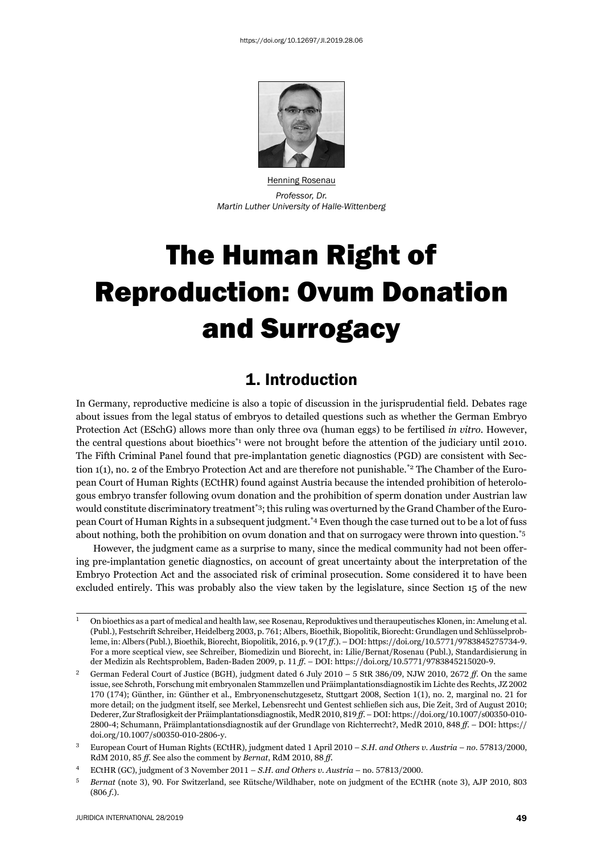

Henning Rosenau *Professor, Dr. Martin Luther University of Halle-Wittenberg*

# The Human Right of Reproduction: Ovum Donation and Surrogacy

# 1. Introduction

In Germany, reproductive medicine is also a topic of discussion in the jurisprudential field. Debates rage about issues from the legal status of embryos to detailed questions such as whether the German Embryo Protection Act (ESchG) allows more than only three ova (human eggs) to be fertilised *in vitro*. However, the central questions about bioethics\*1 were not brought before the attention of the judiciary until 2010. The Fifth Criminal Panel found that pre-implantation genetic diagnostics (PGD) are consistent with Section 1(1), no. 2 of the Embryo Protection Act and are therefore not punishable.\*2 The Chamber of the European Court of Human Rights (ECtHR) found against Austria because the intended prohibition of heterologous embryo transfer following ovum donation and the prohibition of sperm donation under Austrian law would constitute discriminatory treatment\*3; this ruling was overturned by the Grand Chamber of the European Court of Human Rights in a subsequent judgment.\*4 Even though the case turned out to be a lot of fuss about nothing, both the prohibition on ovum donation and that on surrogacy were thrown into question.\*5

However, the judgment came as a surprise to many, since the medical community had not been offering pre-implantation genetic diagnostics, on account of great uncertainty about the interpretation of the Embryo Protection Act and the associated risk of criminal prosecution. Some considered it to have been excluded entirely. This was probably also the view taken by the legislature, since Section 15 of the new

<sup>&</sup>lt;sup>1</sup> On bioethics as a part of medical and health law, see Rosenau, Reproduktives und theraupeutisches Klonen, in: Amelung et al. (Publ.), Festschrift Schreiber, Heidelberg 2003, p. 761; Albers, Bioethik, Biopolitik, Biorecht: Grundlagen und Schlüsselprobleme, in: Albers (Publ.), Bioethik, Biorecht, Biopolitik, 2016, p. 9 (17 ff.). – DOI: https://doi.org/10.5771/9783845275734-9. For a more sceptical view, see Schreiber, Biomedizin und Biorecht, in: Lilie/Bernat/Rosenau (Publ.), Standardisierung in der Medizin als Rechtsproblem, Baden-Baden 2009, p. 11 ff. – DOI: https://doi.org/10.5771/9783845215020-9.

<sup>&</sup>lt;sup>2</sup> German Federal Court of Justice (BGH), judgment dated  $6$  July  $2010 - 5$  StR 386/09, NJW  $2010$ ,  $2672$  *ff*. On the same issue, see Schroth, Forschung mit embryonalen Stammzellen und Präimplantationsdiagnostik im Lichte des Rechts, JZ 2002 170 (174); Günther, in: Günther et al., Embryonenschutzgesetz, Stuttgart 2008, Section 1(1), no. 2, marginal no. 21 for more detail; on the judgment itself, see Merkel, Lebensrecht und Gentest schließen sich aus, Die Zeit, 3rd of August 2010; Dederer, Zur Straflosigkeit der Präimplantationsdiagnostik, MedR 2010, 819 ff. – DOI: https://doi.org/10.1007/s00350-010-2800-4; Schumann, Präimplantationsdiagnostik auf der Grundlage von Richterrecht?, MedR 2010, 848 *ff.* – DOI: https:// doi.org/10.1007/s00350-010-2806-y.

<sup>&</sup>lt;sup>3</sup> European Court of Human Rights (ECtHR), judgment dated 1 April 2010 – *S.H. and Others v. Austria* – *no.* 57813/2000, RdM 2010, 85 ff. See also the comment by *Bernat*, RdM 2010, 88 ff.

<sup>&</sup>lt;sup>4</sup> ECtHR (GC), judgment of 3 November 2011 – *S.H. and Others v. Austria* – no. 57813/2000.

<sup>&</sup>lt;sup>5</sup> *Bernat* (note 3), 90. For Switzerland, see Rütsche/Wildhaber, note on judgment of the ECtHR (note 3), AJP 2010, 803 (806 f.).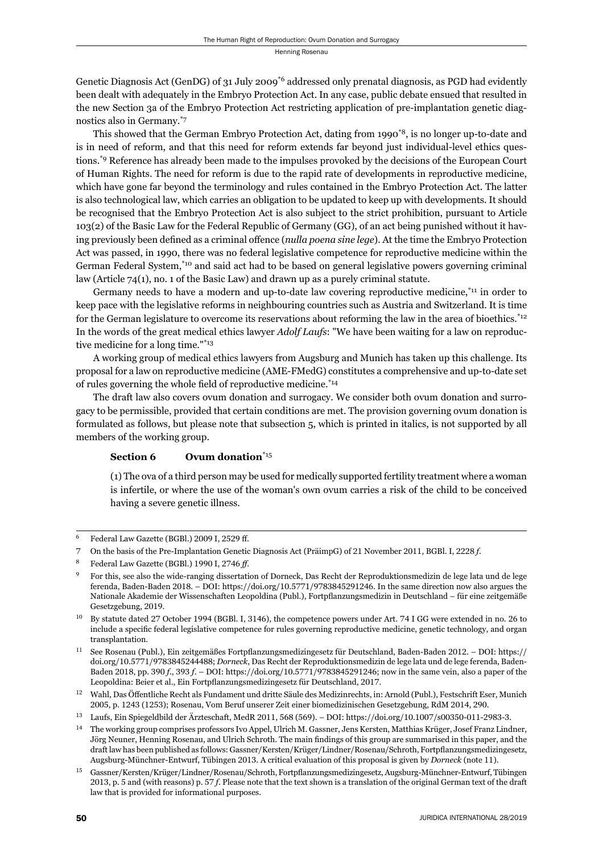Genetic Diagnosis Act (GenDG) of 31 July 2009<sup>\*6</sup> addressed only prenatal diagnosis, as PGD had evidently been dealt with adequately in the Embryo Protection Act. In any case, public debate ensued that resulted in the new Section 3a of the Embryo Protection Act restricting application of pre-implantation genetic diagnostics also in Germany.\*7

This showed that the German Embryo Protection Act, dating from 1990\*8, is no longer up-to-date and is in need of reform, and that this need for reform extends far beyond just individual-level ethics questions.\*9 Reference has already been made to the impulses provoked by the decisions of the European Court of Human Rights. The need for reform is due to the rapid rate of developments in reproductive medicine, which have gone far beyond the terminology and rules contained in the Embryo Protection Act. The latter is also technological law, which carries an obligation to be updated to keep up with developments. It should be recognised that the Embryo Protection Act is also subject to the strict prohibition, pursuant to Article 103(2) of the Basic Law for the Federal Republic of Germany (GG), of an act being punished without it having previously been defined as a criminal offence (*nulla poena sine lege*). At the time the Embryo Protection Act was passed, in 1990, there was no federal legislative competence for reproductive medicine within the German Federal System,\*10 and said act had to be based on general legislative powers governing criminal law (Article 74(1), no. 1 of the Basic Law) and drawn up as a purely criminal statute.

Germany needs to have a modern and up-to-date law covering reproductive medicine,\*11 in order to keep pace with the legislative reforms in neighbouring countries such as Austria and Switzerland. It is time for the German legislature to overcome its reservations about reforming the law in the area of bioethics.<sup>\*12</sup> In the words of the great medical ethics lawyer *Adolf Laufs*: "We have been waiting for a law on reproductive medicine for a long time."\*13

A working group of medical ethics lawyers from Augsburg and Munich has taken up this challenge. Its proposal for a law on reproductive medicine (AME-FMedG) constitutes a comprehensive and up-to-date set of rules governing the whole field of reproductive medicine. $*_{14}$ 

The draft law also covers ovum donation and surrogacy. We consider both ovum donation and surrogacy to be permissible, provided that certain conditions are met. The provision governing ovum donation is formulated as follows, but please note that subsection 5, which is printed in italics, is not supported by all members of the working group.

# **Section 6** Ovum donation<sup>\*15</sup>

(1) The ova of a third person may be used for medically supported fertility treatment where a woman is infertile, or where the use of the woman's own ovum carries a risk of the child to be conceived having a severe genetic illness.

Federal Law Gazette (BGBl.) 2009 I, 2529 ff.

<sup>7</sup> On the basis of the Pre-Implantation Genetic Diagnosis Act (PräimpG) of 21 November 2011, BGBl. I, 2228 f.

Federal Law Gazette (BGBl.) 1990 I, 2746 ff.

<sup>ɺ</sup> For this, see also the wide-ranging dissertation of Dorneck, Das Recht der Reproduktionsmedizin de lege lata und de lege ferenda, Baden-Baden 2018. – DOI: https://doi.org/10.5771/9783845291246. In the same direction now also argues the Nationale Akademie der Wissenschaften Leopoldina (Publ.), Fortpflanzungsmedizin in Deutschland – für eine zeitgemäße Gesetzgebung, 2019.

 $^{10}$  By statute dated 27 October 1994 (BGBl. I, 3146), the competence powers under Art. 74 I GG were extended in no. 26 to include a specific federal legislative competence for rules governing reproductive medicine, genetic technology, and organ transplantation.

<sup>&</sup>lt;sup>11</sup> See Rosenau (Publ.), Ein zeitgemäßes Fortpflanzungsmedizingesetz für Deutschland, Baden-Baden 2012. – DOI: https:// doi.org/10.5771/9783845244488; *Dorneck*, Das Recht der Reproduktionsmedizin de lege lata und de lege ferenda, Baden-Baden 2018, pp. 390 *f.*, 393 *f.* – DOI: https://doi.org/10.5771/9783845291246; now in the same vein, also a paper of the Leopoldina: Beier et al., Ein Fortpflanzungsmedizingesetz für Deutschland, 2017.

<sup>&</sup>lt;sup>12</sup> Wahl, Das Öffentliche Recht als Fundament und dritte Säule des Medizinrechts, in: Arnold (Publ.), Festschrift Eser, Munich 2005, p. 1243 (1253); Rosenau, Vom Beruf unserer Zeit einer biomedizinischen Gesetzgebung, RdM 2014, 290.

<sup>&</sup>lt;sup>13</sup> Laufs, Ein Spiegeldbild der Ärzteschaft, MedR 2011, 568 (569). – DOI: https://doi.org/10.1007/s00350-011-2983-3.

<sup>&</sup>lt;sup>14</sup> The working group comprises professors Ivo Appel, Ulrich M. Gassner, Jens Kersten, Matthias Krüger, Josef Franz Lindner, Jörg Neuner, Henning Rosenau, and Ulrich Schroth. The main findings of this group are summarised in this paper, and the draft law has been published as follows: Gassner/Kersten/Krüger/Lindner/Rosenau/Schroth, Fortpflanzungsmedizingesetz, Augsburg-Münchner-Entwurf, Tübingen 2013. A critical evaluation of this proposal is given by *Dorneck* (note 11).

Gassner/Kersten/Krüger/Lindner/Rosenau/Schroth, Fortpflanzungsmedizingesetz, Augsburg-Münchner-Entwurf, Tübingen 2013, p. 5 and (with reasons) p. 57 f. Please note that the text shown is a translation of the original German text of the draft law that is provided for informational purposes.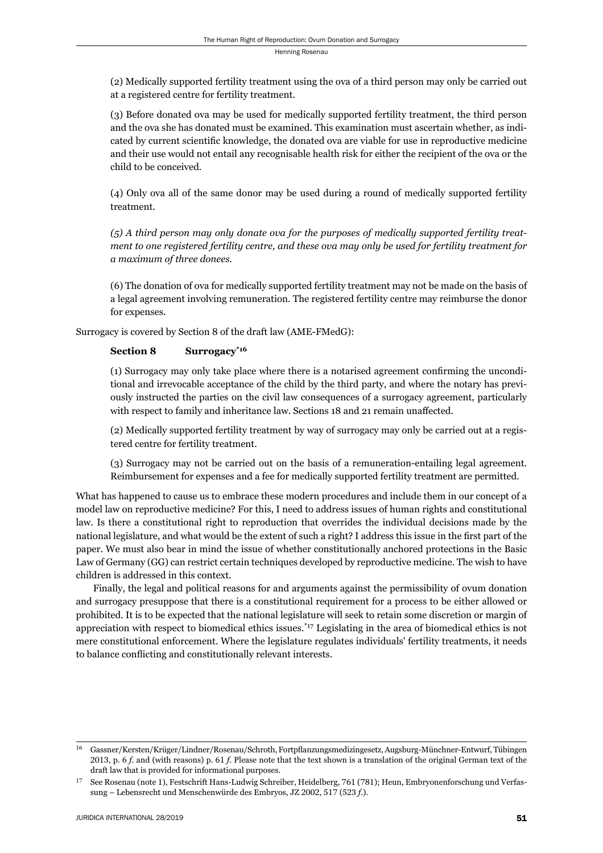(2) Medically supported fertility treatment using the ova of a third person may only be carried out at a registered centre for fertility treatment.

(3) Before donated ova may be used for medically supported fertility treatment, the third person and the ova she has donated must be examined. This examination must ascertain whether, as indicated by current scientific knowledge, the donated ova are viable for use in reproductive medicine and their use would not entail any recognisable health risk for either the recipient of the ova or the child to be conceived.

(4) Only ova all of the same donor may be used during a round of medically supported fertility treatment.

*(5) A third person may only donate ova for the purposes of medically supported fertility treatment to one registered fertility centre, and these ova may only be used for fertility treatment for a maximum of three donees.*

(6) The donation of ova for medically supported fertility treatment may not be made on the basis of a legal agreement involving remuneration. The registered fertility centre may reimburse the donor for expenses.

Surrogacy is covered by Section 8 of the draft law (AME-FMedG):

# Section 8 Surrogacy<sup>\*16</sup>

(1) Surrogacy may only take place where there is a notarised agreement confi rming the unconditional and irrevocable acceptance of the child by the third party, and where the notary has previously instructed the parties on the civil law consequences of a surrogacy agreement, particularly with respect to family and inheritance law. Sections 18 and 21 remain unaffected.

(2) Medically supported fertility treatment by way of surrogacy may only be carried out at a registered centre for fertility treatment.

(3) Surrogacy may not be carried out on the basis of a remuneration-entailing legal agreement. Reimbursement for expenses and a fee for medically supported fertility treatment are permitted.

What has happened to cause us to embrace these modern procedures and include them in our concept of a model law on reproductive medicine? For this, I need to address issues of human rights and constitutional law. Is there a constitutional right to reproduction that overrides the individual decisions made by the national legislature, and what would be the extent of such a right? I address this issue in the first part of the paper. We must also bear in mind the issue of whether constitutionally anchored protections in the Basic Law of Germany (GG) can restrict certain techniques developed by reproductive medicine. The wish to have children is addressed in this context.

Finally, the legal and political reasons for and arguments against the permissibility of ovum donation and surrogacy presuppose that there is a constitutional requirement for a process to be either allowed or prohibited. It is to be expected that the national legislature will seek to retain some discretion or margin of appreciation with respect to biomedical ethics issues.\*17 Legislating in the area of biomedical ethics is not mere constitutional enforcement. Where the legislature regulates individuals' fertility treatments, it needs to balance conflicting and constitutionally relevant interests.

Gassner/Kersten/Krüger/Lindner/Rosenau/Schroth, Fortpflanzungsmedizingesetz, Augsburg-Münchner-Entwurf, Tübingen 2013, p. 6 *f*. and (with reasons) p. 61 *f*. Please note that the text shown is a translation of the original German text of the draft law that is provided for informational purposes.

<sup>&</sup>lt;sup>17</sup> See Rosenau (note 1), Festschrift Hans-Ludwig Schreiber, Heidelberg, 761 (781); Heun, Embryonenforschung und Verfassung – Lebensrecht und Menschenwürde des Embryos, JZ 2002, 517 (523 f.).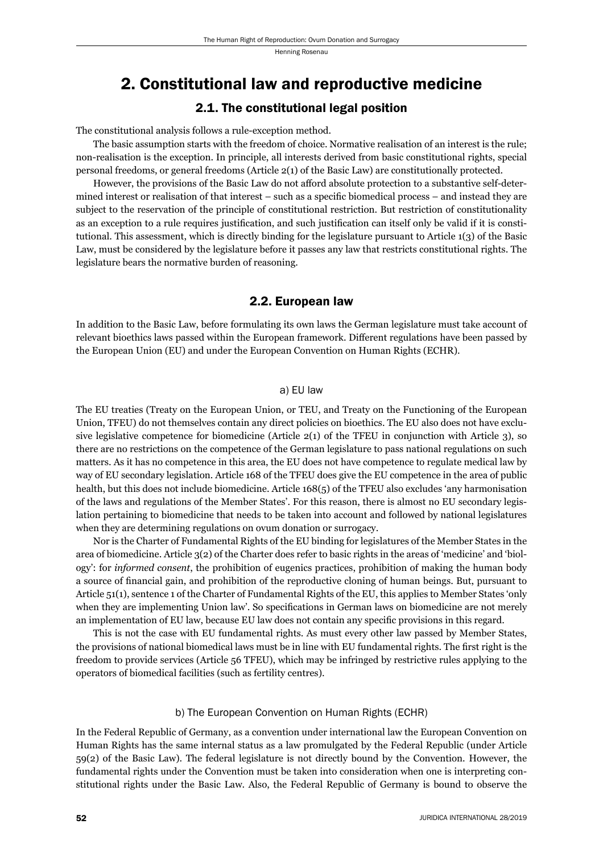# 2. Constitutional law and reproductive medicine

# 2.1. The constitutional legal position

The constitutional analysis follows a rule-exception method.

The basic assumption starts with the freedom of choice. Normative realisation of an interest is the rule; non-realisation is the exception. In principle, all interests derived from basic constitutional rights, special personal freedoms, or general freedoms (Article 2(1) of the Basic Law) are constitutionally protected.

However, the provisions of the Basic Law do not afford absolute protection to a substantive self-determined interest or realisation of that interest  $-$  such as a specific biomedical process  $-$  and instead they are subject to the reservation of the principle of constitutional restriction. But restriction of constitutionality as an exception to a rule requires justification, and such justification can itself only be valid if it is constitutional. This assessment, which is directly binding for the legislature pursuant to Article 1(3) of the Basic Law, must be considered by the legislature before it passes any law that restricts constitutional rights. The legislature bears the normative burden of reasoning.

# 2.2. European law

In addition to the Basic Law, before formulating its own laws the German legislature must take account of relevant bioethics laws passed within the European framework. Different regulations have been passed by the European Union (EU) and under the European Convention on Human Rights (ECHR).

#### a) EU law

The EU treaties (Treaty on the European Union, or TEU, and Treaty on the Functioning of the European Union, TFEU) do not themselves contain any direct policies on bioethics. The EU also does not have exclusive legislative competence for biomedicine (Article  $2(1)$  of the TFEU in conjunction with Article 3), so there are no restrictions on the competence of the German legislature to pass national regulations on such matters. As it has no competence in this area, the EU does not have competence to regulate medical law by way of EU secondary legislation. Article 168 of the TFEU does give the EU competence in the area of public health, but this does not include biomedicine. Article 168(5) of the TFEU also excludes 'any harmonisation of the laws and regulations of the Member States'. For this reason, there is almost no EU secondary legislation pertaining to biomedicine that needs to be taken into account and followed by national legislatures when they are determining regulations on ovum donation or surrogacy.

Nor is the Charter of Fundamental Rights of the EU binding for legislatures of the Member States in the area of biomedicine. Article 3(2) of the Charter does refer to basic rights in the areas of 'medicine' and 'biology': for *informed consent*, the prohibition of eugenics practices, prohibition of making the human body a source of financial gain, and prohibition of the reproductive cloning of human beings. But, pursuant to Article 51(1), sentence 1 of the Charter of Fundamental Rights of the EU, this applies to Member States 'only when they are implementing Union law'. So specifications in German laws on biomedicine are not merely an implementation of EU law, because EU law does not contain any specific provisions in this regard.

This is not the case with EU fundamental rights. As must every other law passed by Member States, the provisions of national biomedical laws must be in line with EU fundamental rights. The first right is the freedom to provide services (Article 56 TFEU), which may be infringed by restrictive rules applying to the operators of biomedical facilities (such as fertility centres).

#### b) The European Convention on Human Rights (ECHR)

In the Federal Republic of Germany, as a convention under international law the European Convention on Human Rights has the same internal status as a law promulgated by the Federal Republic (under Article 59(2) of the Basic Law). The federal legislature is not directly bound by the Convention. However, the fundamental rights under the Convention must be taken into consideration when one is interpreting constitutional rights under the Basic Law. Also, the Federal Republic of Germany is bound to observe the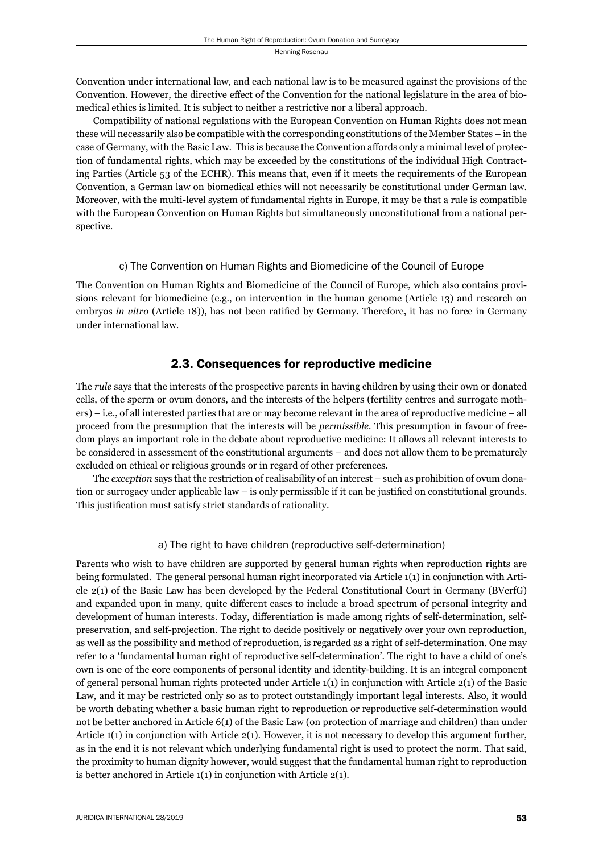Convention under international law, and each national law is to be measured against the provisions of the Convention. However, the directive effect of the Convention for the national legislature in the area of biomedical ethics is limited. It is subject to neither a restrictive nor a liberal approach.

Compatibility of national regulations with the European Convention on Human Rights does not mean these will necessarily also be compatible with the corresponding constitutions of the Member States – in the case of Germany, with the Basic Law. This is because the Convention affords only a minimal level of protection of fundamental rights, which may be exceeded by the constitutions of the individual High Contracting Parties (Article 53 of the ECHR). This means that, even if it meets the requirements of the European Convention, a German law on biomedical ethics will not necessarily be constitutional under German law. Moreover, with the multi-level system of fundamental rights in Europe, it may be that a rule is compatible with the European Convention on Human Rights but simultaneously unconstitutional from a national perspective.

# c) The Convention on Human Rights and Biomedicine of the Council of Europe

The Convention on Human Rights and Biomedicine of the Council of Europe, which also contains provisions relevant for biomedicine (e.g., on intervention in the human genome (Article 13) and research on embryos *in vitro* (Article 18)), has not been ratified by Germany. Therefore, it has no force in Germany under international law.

# 2.3. Consequences for reproductive medicine

The *rule* says that the interests of the prospective parents in having children by using their own or donated cells, of the sperm or ovum donors, and the interests of the helpers (fertility centres and surrogate mothers) – i.e., of all interested parties that are or may become relevant in the area of reproductive medicine – all proceed from the presumption that the interests will be *permissible.* This presumption in favour of freedom plays an important role in the debate about reproductive medicine: It allows all relevant interests to be considered in assessment of the constitutional arguments – and does not allow them to be prematurely excluded on ethical or religious grounds or in regard of other preferences.

The *exception* says that the restriction of realisability of an interest – such as prohibition of ovum donation or surrogacy under applicable law  $-$  is only permissible if it can be justified on constitutional grounds. This justification must satisfy strict standards of rationality.

# a) The right to have children (reproductive self-determination)

Parents who wish to have children are supported by general human rights when reproduction rights are being formulated. The general personal human right incorporated via Article 1(1) in conjunction with Article 2(1) of the Basic Law has been developed by the Federal Constitutional Court in Germany (BVerfG) and expanded upon in many, quite different cases to include a broad spectrum of personal integrity and development of human interests. Today, differentiation is made among rights of self-determination, selfpreservation, and self-projection. The right to decide positively or negatively over your own reproduction, as well as the possibility and method of reproduction, is regarded as a right of self-determination. One may refer to a 'fundamental human right of reproductive self-determination'. The right to have a child of one's own is one of the core components of personal identity and identity-building. It is an integral component of general personal human rights protected under Article 1(1) in conjunction with Article 2(1) of the Basic Law, and it may be restricted only so as to protect outstandingly important legal interests. Also, it would be worth debating whether a basic human right to reproduction or reproductive self-determination would not be better anchored in Article 6(1) of the Basic Law (on protection of marriage and children) than under Article  $1(1)$  in conjunction with Article  $2(1)$ . However, it is not necessary to develop this argument further, as in the end it is not relevant which underlying fundamental right is used to protect the norm. That said, the proximity to human dignity however, would suggest that the fundamental human right to reproduction is better anchored in Article 1(1) in conjunction with Article 2(1).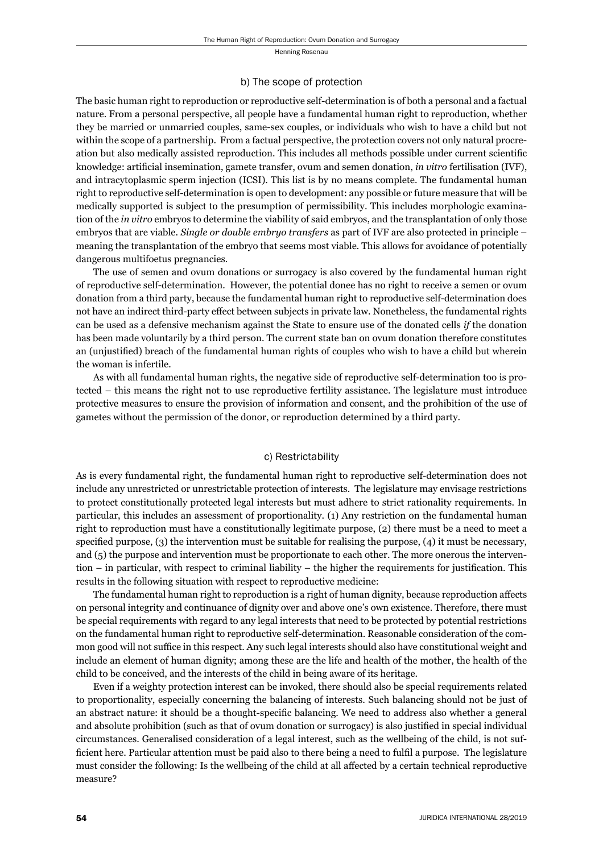#### b) The scope of protection

The basic human right to reproduction or reproductive self-determination is of both a personal and a factual nature. From a personal perspective, all people have a fundamental human right to reproduction, whether they be married or unmarried couples, same-sex couples, or individuals who wish to have a child but not within the scope of a partnership. From a factual perspective, the protection covers not only natural procreation but also medically assisted reproduction. This includes all methods possible under current scientific knowledge: artificial insemination, gamete transfer, ovum and semen donation, *in vitro* fertilisation (IVF), and intracytoplasmic sperm injection (ICSI). This list is by no means complete. The fundamental human right to reproductive self-determination is open to development: any possible or future measure that will be medically supported is subject to the presumption of permissibility. This includes morphologic examination of the *in vitro* embryos to determine the viability of said embryos, and the transplantation of only those embryos that are viable. *Single or double embryo transfers* as part of IVF are also protected in principle – meaning the transplantation of the embryo that seems most viable. This allows for avoidance of potentially dangerous multifoetus pregnancies.

The use of semen and ovum donations or surrogacy is also covered by the fundamental human right of reproductive self-determination. However, the potential donee has no right to receive a semen or ovum donation from a third party, because the fundamental human right to reproductive self-determination does not have an indirect third-party effect between subjects in private law. Nonetheless, the fundamental rights can be used as a defensive mechanism against the State to ensure use of the donated cells *if* the donation has been made voluntarily by a third person. The current state ban on ovum donation therefore constitutes an (unjustified) breach of the fundamental human rights of couples who wish to have a child but wherein the woman is infertile.

As with all fundamental human rights, the negative side of reproductive self-determination too is protected – this means the right not to use reproductive fertility assistance. The legislature must introduce protective measures to ensure the provision of information and consent, and the prohibition of the use of gametes without the permission of the donor, or reproduction determined by a third party.

### c) Restrictability

As is every fundamental right, the fundamental human right to reproductive self-determination does not include any unrestricted or unrestrictable protection of interests. The legislature may envisage restrictions to protect constitutionally protected legal interests but must adhere to strict rationality requirements. In particular, this includes an assessment of proportionality. (1) Any restriction on the fundamental human right to reproduction must have a constitutionally legitimate purpose, (2) there must be a need to meet a specified purpose,  $(3)$  the intervention must be suitable for realising the purpose,  $(4)$  it must be necessary, and (5) the purpose and intervention must be proportionate to each other. The more onerous the interven $t$  tion – in particular, with respect to criminal liability – the higher the requirements for justification. This results in the following situation with respect to reproductive medicine:

The fundamental human right to reproduction is a right of human dignity, because reproduction affects on personal integrity and continuance of dignity over and above one's own existence. Therefore, there must be special requirements with regard to any legal interests that need to be protected by potential restrictions on the fundamental human right to reproductive self-determination. Reasonable consideration of the common good will not suffice in this respect. Any such legal interests should also have constitutional weight and include an element of human dignity; among these are the life and health of the mother, the health of the child to be conceived, and the interests of the child in being aware of its heritage.

Even if a weighty protection interest can be invoked, there should also be special requirements related to proportionality, especially concerning the balancing of interests. Such balancing should not be just of an abstract nature: it should be a thought-specific balancing. We need to address also whether a general and absolute prohibition (such as that of ovum donation or surrogacy) is also justified in special individual circumstances. Generalised consideration of a legal interest, such as the wellbeing of the child, is not sufficient here. Particular attention must be paid also to there being a need to fulfil a purpose. The legislature must consider the following: Is the wellbeing of the child at all affected by a certain technical reproductive measure?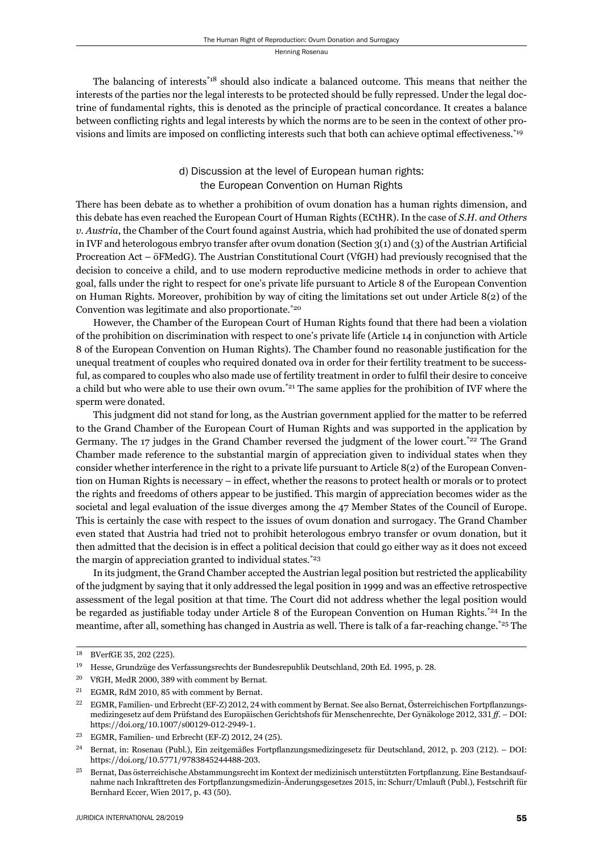The balancing of interests<sup>\*18</sup> should also indicate a balanced outcome. This means that neither the interests of the parties nor the legal interests to be protected should be fully repressed. Under the legal doctrine of fundamental rights, this is denoted as the principle of practical concordance. It creates a balance between conflicting rights and legal interests by which the norms are to be seen in the context of other provisions and limits are imposed on conflicting interests such that both can achieve optimal effectiveness.<sup>\*19</sup>

# d) Discussion at the level of European human rights: the European Convention on Human Rights

There has been debate as to whether a prohibition of ovum donation has a human rights dimension, and this debate has even reached the European Court of Human Rights (ECtHR). In the case of *S.H. and Others v. Austria*, the Chamber of the Court found against Austria, which had prohibited the use of donated sperm in IVF and heterologous embryo transfer after ovum donation (Section  $3(1)$  and  $(3)$ ) of the Austrian Artificial Procreation Act – öFMedG). The Austrian Constitutional Court (VfGH) had previously recognised that the decision to conceive a child, and to use modern reproductive medicine methods in order to achieve that goal, falls under the right to respect for one's private life pursuant to Article 8 of the European Convention on Human Rights. Moreover, prohibition by way of citing the limitations set out under Article 8(2) of the Convention was legitimate and also proportionate.\*20

However, the Chamber of the European Court of Human Rights found that there had been a violation of the prohibition on discrimination with respect to one's private life (Article 14 in conjunction with Article 8 of the European Convention on Human Rights). The Chamber found no reasonable justification for the unequal treatment of couples who required donated ova in order for their fertility treatment to be successful, as compared to couples who also made use of fertility treatment in order to fulfi l their desire to conceive a child but who were able to use their own ovum.<sup>\*21</sup> The same applies for the prohibition of IVF where the sperm were donated.

This judgment did not stand for long, as the Austrian government applied for the matter to be referred to the Grand Chamber of the European Court of Human Rights and was supported in the application by Germany. The 17 judges in the Grand Chamber reversed the judgment of the lower court.<sup>\*22</sup> The Grand Chamber made reference to the substantial margin of appreciation given to individual states when they consider whether interference in the right to a private life pursuant to Article 8(2) of the European Convention on Human Rights is necessary – in effect, whether the reasons to protect health or morals or to protect the rights and freedoms of others appear to be justified. This margin of appreciation becomes wider as the societal and legal evaluation of the issue diverges among the 47 Member States of the Council of Europe. This is certainly the case with respect to the issues of ovum donation and surrogacy. The Grand Chamber even stated that Austria had tried not to prohibit heterologous embryo transfer or ovum donation, but it then admitted that the decision is in effect a political decision that could go either way as it does not exceed the margin of appreciation granted to individual states. $z_{23}$ 

In its judgment, the Grand Chamber accepted the Austrian legal position but restricted the applicability of the judgment by saying that it only addressed the legal position in 1999 and was an effective retrospective assessment of the legal position at that time. The Court did not address whether the legal position would be regarded as justifiable today under Article 8 of the European Convention on Human Rights.<sup>\*24</sup> In the meantime, after all, something has changed in Austria as well. There is talk of a far-reaching change.\*25 The

 $^{21}$   $\,$  EGMR, RdM 2010, 85 with comment by Bernat.

<sup>18</sup> BVerfGE 35, 202 (225).

<sup>&</sup>lt;sup>19</sup> Hesse, Grundzüge des Verfassungsrechts der Bundesrepublik Deutschland, 20th Ed. 1995, p. 28.

<sup>&</sup>lt;sup>20</sup> VfGH, MedR 2000, 389 with comment by Bernat.

<sup>&</sup>lt;sup>22</sup> EGMR, Familien- und Erbrecht (EF-Z) 2012, 24 with comment by Bernat. See also Bernat, Österreichischen Fortpflanzungsmedizingesetz auf dem Prüfstand des Europäischen Gerichtshofs für Menschenrechte, Der Gynäkologe 2012, 331 ff. – DOI: https://doi.org/10.1007/s00129-012-2949-1.

 $23$  EGMR, Familien- und Erbrecht (EF-Z)  $2012$ ,  $24$  ( $25$ ).

<sup>&</sup>lt;sup>24</sup> Bernat, in: Rosenau (Publ.), Ein zeitgemäßes Fortpflanzungsmedizingesetz für Deutschland, 2012, p. 203 (212). – DOI: https://doi.org/10.5771/9783845244488-203.

<sup>&</sup>lt;sup>25</sup> Bernat, Das österreichische Abstammungsrecht im Kontext der medizinisch unterstützten Fortpflanzung. Eine Bestandsaufnahme nach Inkrafttreten des Fortpflanzungsmedizin-Änderungsgesetzes 2015, in: Schurr/Umlauft (Publ.), Festschrift für Bernhard Eccer, Wien 2017, p. 43 (50).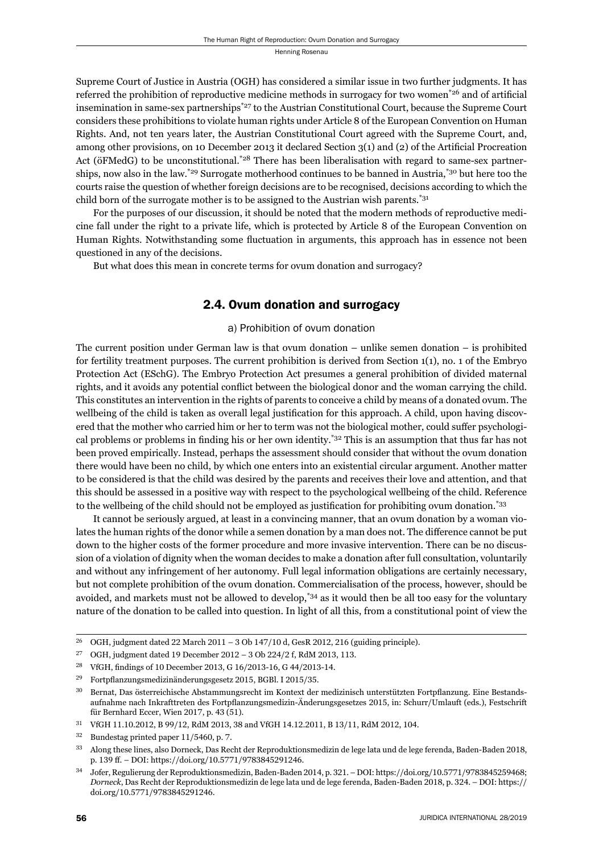Supreme Court of Justice in Austria (OGH) has considered a similar issue in two further judgments. It has referred the prohibition of reproductive medicine methods in surrogacy for two women\* $26$  and of artificial insemination in same-sex partnerships<sup>\*27</sup> to the Austrian Constitutional Court, because the Supreme Court considers these prohibitions to violate human rights under Article 8 of the European Convention on Human Rights. And, not ten years later, the Austrian Constitutional Court agreed with the Supreme Court, and, among other provisions, on 10 December 2013 it declared Section  $3(1)$  and  $(2)$  of the Artificial Procreation Act (öFMedG) to be unconstitutional.\*28 There has been liberalisation with regard to same-sex partnerships, now also in the law.<sup>\*29</sup> Surrogate motherhood continues to be banned in Austria,<sup>\*30</sup> but here too the courts raise the question of whether foreign decisions are to be recognised, decisions according to which the child born of the surrogate mother is to be assigned to the Austrian wish parents.\*31

For the purposes of our discussion, it should be noted that the modern methods of reproductive medicine fall under the right to a private life, which is protected by Article 8 of the European Convention on Human Rights. Notwithstanding some fluctuation in arguments, this approach has in essence not been questioned in any of the decisions.

But what does this mean in concrete terms for ovum donation and surrogacy?

# 2.4. Ovum donation and surrogacy

## a) Prohibition of ovum donation

The current position under German law is that ovum donation – unlike semen donation – is prohibited for fertility treatment purposes. The current prohibition is derived from Section  $1(1)$ , no. 1 of the Embryo Protection Act (ESchG). The Embryo Protection Act presumes a general prohibition of divided maternal rights, and it avoids any potential conflict between the biological donor and the woman carrying the child. This constitutes an intervention in the rights of parents to conceive a child by means of a donated ovum. The wellbeing of the child is taken as overall legal justification for this approach. A child, upon having discovered that the mother who carried him or her to term was not the biological mother, could suffer psychological problems or problems in finding his or her own identity.<sup>\*32</sup> This is an assumption that thus far has not been proved empirically. Instead, perhaps the assessment should consider that without the ovum donation there would have been no child, by which one enters into an existential circular argument. Another matter to be considered is that the child was desired by the parents and receives their love and attention, and that this should be assessed in a positive way with respect to the psychological wellbeing of the child. Reference to the wellbeing of the child should not be employed as justification for prohibiting ovum donation.<sup>\*33</sup>

It cannot be seriously argued, at least in a convincing manner, that an ovum donation by a woman violates the human rights of the donor while a semen donation by a man does not. The difference cannot be put down to the higher costs of the former procedure and more invasive intervention. There can be no discussion of a violation of dignity when the woman decides to make a donation after full consultation, voluntarily and without any infringement of her autonomy. Full legal information obligations are certainly necessary, but not complete prohibition of the ovum donation. Commercialisation of the process, however, should be avoided, and markets must not be allowed to develop,<sup>\*34</sup> as it would then be all too easy for the voluntary nature of the donation to be called into question. In light of all this, from a constitutional point of view the

 $^{26}$  OGH, judgment dated 22 March 2011 – 3 Ob 147/10 d, GesR 2012, 216 (guiding principle).

 $^{27}$  OGH, judgment dated 19 December 2012 – 3 Ob 224/2 f, RdM 2013, 113.

<sup>&</sup>lt;sup>28</sup> VfGH, findings of 10 December 2013, G 16/2013-16, G 44/2013-14.

<sup>&</sup>lt;sup>29</sup> Fortpflanzungsmedizinänderungsgesetz 2015, BGBl. I 2015/35.

<sup>&</sup>lt;sup>30</sup> Bernat, Das österreichische Abstammungsrecht im Kontext der medizinisch unterstützten Fortpflanzung. Eine Bestandsaufnahme nach Inkrafttreten des Fortpflanzungsmedizin-Änderungsgesetzes 2015, in: Schurr/Umlauft (eds.), Festschrift für Bernhard Eccer, Wien 2017, p. 43 (51).

 $31$  VfGH 11.10.2012, B 99/12, RdM 2013, 38 and VfGH 14.12.2011, B 13/11, RdM 2012, 104.

 $32$  Bundestag printed paper 11/5460, p. 7.

<sup>&</sup>lt;sup>33</sup> Along these lines, also Dorneck, Das Recht der Reproduktionsmedizin de lege lata und de lege ferenda, Baden-Baden 2018, p. 139 ff. – DOI: https://doi.org/10.5771/9783845291246.

Jofer, Regulierung der Reproduktionsmedizin, Baden-Baden 2014, p. 321. – DOI: https://doi.org/10.5771/9783845259468; *Dorneck*, Das Recht der Reproduktionsmedizin de lege lata und de lege ferenda, Baden-Baden 2018, p. 324. – DOI: https:// doi.org/10.5771/9783845291246.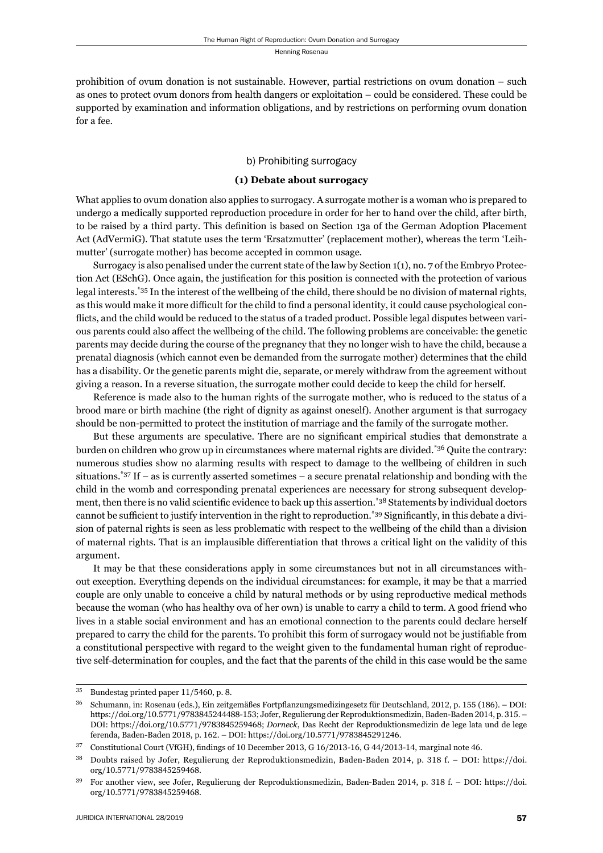prohibition of ovum donation is not sustainable. However, partial restrictions on ovum donation – such as ones to protect ovum donors from health dangers or exploitation – could be considered. These could be supported by examination and information obligations, and by restrictions on performing ovum donation for a fee.

## b) Prohibiting surrogacy

## **(1) Debate about surrogacy**

What applies to ovum donation also applies to surrogacy. A surrogate mother is a woman who is prepared to undergo a medically supported reproduction procedure in order for her to hand over the child, after birth, to be raised by a third party. This definition is based on Section 13a of the German Adoption Placement Act (AdVermiG). That statute uses the term 'Ersatzmutter' (replacement mother), whereas the term 'Leihmutter' (surrogate mother) has become accepted in common usage.

Surrogacy is also penalised under the current state of the law by Section 1(1), no. 7 of the Embryo Protection Act (ESchG). Once again, the justification for this position is connected with the protection of various legal interests.\*35 In the interest of the wellbeing of the child, there should be no division of maternal rights, as this would make it more difficult for the child to find a personal identity, it could cause psychological conflicts, and the child would be reduced to the status of a traded product. Possible legal disputes between various parents could also affect the wellbeing of the child. The following problems are conceivable: the genetic parents may decide during the course of the pregnancy that they no longer wish to have the child, because a prenatal diagnosis (which cannot even be demanded from the surrogate mother) determines that the child has a disability. Or the genetic parents might die, separate, or merely withdraw from the agreement without giving a reason. In a reverse situation, the surrogate mother could decide to keep the child for herself.

Reference is made also to the human rights of the surrogate mother, who is reduced to the status of a brood mare or birth machine (the right of dignity as against oneself). Another argument is that surrogacy should be non-permitted to protect the institution of marriage and the family of the surrogate mother.

But these arguments are speculative. There are no significant empirical studies that demonstrate a burden on children who grow up in circumstances where maternal rights are divided.\*36 Quite the contrary: numerous studies show no alarming results with respect to damage to the wellbeing of children in such situations.<sup>\*37</sup> If – as is currently asserted sometimes – a secure prenatal relationship and bonding with the child in the womb and corresponding prenatal experiences are necessary for strong subsequent development, then there is no valid scientific evidence to back up this assertion.<sup>\*38</sup> Statements by individual doctors cannot be sufficient to justify intervention in the right to reproduction.<sup>\*39</sup> Significantly, in this debate a division of paternal rights is seen as less problematic with respect to the wellbeing of the child than a division of maternal rights. That is an implausible differentiation that throws a critical light on the validity of this argument.

It may be that these considerations apply in some circumstances but not in all circumstances without exception. Everything depends on the individual circumstances: for example, it may be that a married couple are only unable to conceive a child by natural methods or by using reproductive medical methods because the woman (who has healthy ova of her own) is unable to carry a child to term. A good friend who lives in a stable social environment and has an emotional connection to the parents could declare herself prepared to carry the child for the parents. To prohibit this form of surrogacy would not be justifiable from a constitutional perspective with regard to the weight given to the fundamental human right of reproductive self-determination for couples, and the fact that the parents of the child in this case would be the same

<sup>&</sup>lt;sup>35</sup> Bundestag printed paper 11/5460, p. 8.

<sup>&</sup>lt;sup>36</sup> Schumann, in: Rosenau (eds.), Ein zeitgemäßes Fortpflanzungsmedizingesetz für Deutschland, 2012, p. 155 (186). – DOI: https://doi.org/10.5771/9783845244488-153; Jofer, Regulierung der Reproduktionsmedizin, Baden-Baden 2014, p. 315. – DOI: https://doi.org/10.5771/9783845259468; *Dorneck*, Das Recht der Reproduktionsmedizin de lege lata und de lege ferenda, Baden-Baden 2018, p. 162. – DOI: https://doi.org/10.5771/9783845291246.

 $37$  Constitutional Court (VfGH), findings of 10 December 2013, G 16/2013-16, G 44/2013-14, marginal note 46.

Doubts raised by Jofer, Regulierung der Reproduktionsmedizin, Baden-Baden 2014, p. 318 f. – DOI: https://doi. org/10.5771/9783845259468.

<sup>&</sup>lt;sup>39</sup> For another view, see Jofer, Regulierung der Reproduktionsmedizin, Baden-Baden 2014, p. 318 f. – DOI: https://doi. org/10.5771/9783845259468.